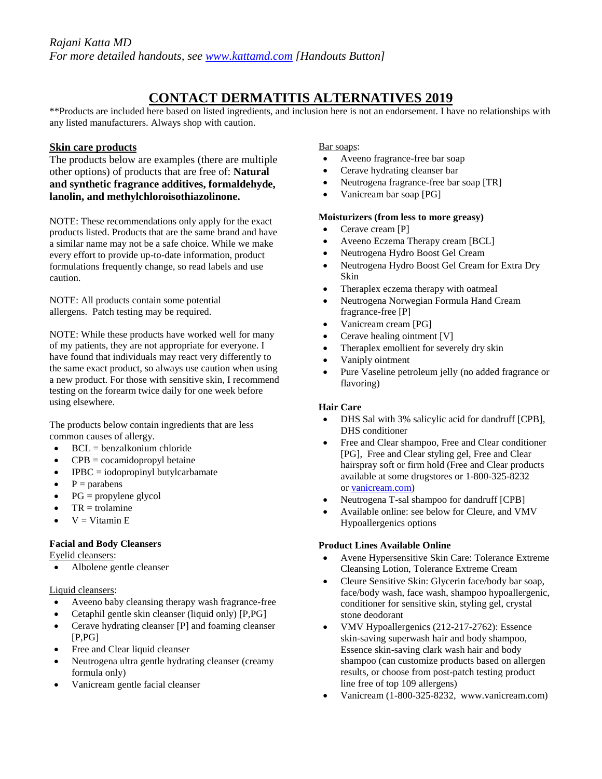# **CONTACT DERMATITIS ALTERNATIVES 2019**

\*\*Products are included here based on listed ingredients, and inclusion here is not an endorsement. I have no relationships with any listed manufacturers. Always shop with caution.

# **Skin care products**

The products below are examples (there are multiple other options) of products that are free of: **Natural and synthetic fragrance additives, formaldehyde, lanolin, and methylchloroisothiazolinone.**

NOTE: These recommendations only apply for the exact products listed. Products that are the same brand and have a similar name may not be a safe choice. While we make every effort to provide up-to-date information, product formulations frequently change, so read labels and use caution.

NOTE: All products contain some potential allergens. Patch testing may be required.

NOTE: While these products have worked well for many of my patients, they are not appropriate for everyone. I have found that individuals may react very differently to the same exact product, so always use caution when using a new product. For those with sensitive skin, I recommend testing on the forearm twice daily for one week before using elsewhere.

The products below contain ingredients that are less common causes of allergy.

- $\bullet$  BCL = benzalkonium chloride
- $CPB = cocamidopropyl betaine$
- $IPBC = iodopropinyl butylcarbanate$
- $\bullet$  P = parabens
- $PG =$  propylene glycol
- $TR =$  trolamine
- $V = V$ itamin E

# **Facial and Body Cleansers**

Eyelid cleansers:

• Albolene gentle cleanser

# Liquid cleansers:

- Aveeno baby cleansing therapy wash fragrance-free
- Cetaphil gentle skin cleanser (liquid only) [P,PG]
- Cerave hydrating cleanser [P] and foaming cleanser  $[P.PG]$
- Free and Clear liquid cleanser
- Neutrogena ultra gentle hydrating cleanser (creamy formula only)
- Vanicream gentle facial cleanser

## Bar soaps:

- Aveeno fragrance-free bar soap
- Cerave hydrating cleanser bar
- Neutrogena fragrance-free bar soap [TR]
- Vanicream bar soap [PG]

#### **Moisturizers (from less to more greasy)**

- Cerave cream [P]
- Aveeno Eczema Therapy cream [BCL]
- Neutrogena Hydro Boost Gel Cream
- Neutrogena Hydro Boost Gel Cream for Extra Dry Skin
- Theraplex eczema therapy with oatmeal
- Neutrogena Norwegian Formula Hand Cream fragrance-free [P]
- Vanicream cream [PG]
- Cerave healing ointment [V]
- Theraplex emollient for severely dry skin
- Vaniply ointment
- Pure Vaseline petroleum jelly (no added fragrance or flavoring)

#### **Hair Care**

- DHS Sal with 3% salicylic acid for dandruff [CPB], DHS conditioner
- Free and Clear shampoo, Free and Clear conditioner [PG], Free and Clear styling gel, Free and Clear hairspray soft or firm hold (Free and Clear products available at some drugstores or 1-800-325-8232 or [vanicream.com\)](http://vanicream.com/)
- Neutrogena T-sal shampoo for dandruff [CPB]
- Available online: see below for Cleure, and VMV Hypoallergenics options

## **Product Lines Available Online**

- Avene Hypersensitive Skin Care: Tolerance Extreme Cleansing Lotion, Tolerance Extreme Cream
- Cleure Sensitive Skin: Glycerin face/body bar soap, face/body wash, face wash, shampoo hypoallergenic, conditioner for sensitive skin, styling gel, crystal stone deodorant
- VMV Hypoallergenics (212-217-2762): Essence skin-saving superwash hair and body shampoo, Essence skin-saving clark wash hair and body shampoo (can customize products based on allergen results, or choose from post-patch testing product line free of top 109 allergens)
- Vanicream (1-800-325-8232, www.vanicream.com)